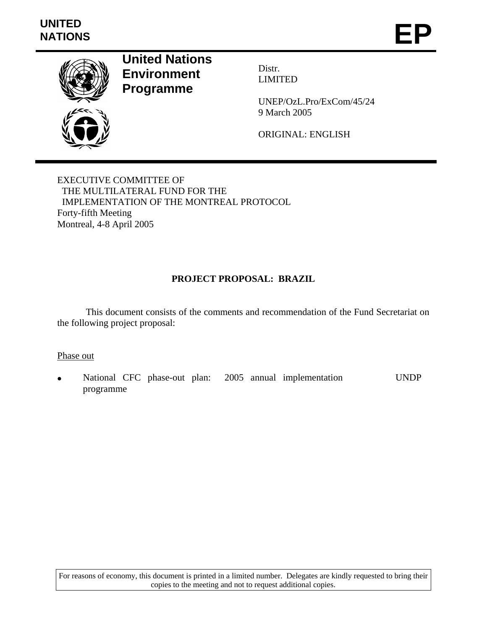

**United Nations Environment Programme** 

Distr. LIMITED

UNEP/OzL.Pro/ExCom/45/24 9 March 2005

ORIGINAL: ENGLISH

EXECUTIVE COMMITTEE OF THE MULTILATERAL FUND FOR THE IMPLEMENTATION OF THE MONTREAL PROTOCOL Forty-fifth Meeting Montreal, 4-8 April 2005

# **PROJECT PROPOSAL: BRAZIL**

 This document consists of the comments and recommendation of the Fund Secretariat on the following project proposal:

Phase out

• National CFC phase-out plan: 2005 annual implementation programme UNDP

For reasons of economy, this document is printed in a limited number. Delegates are kindly requested to bring their copies to the meeting and not to request additional copies.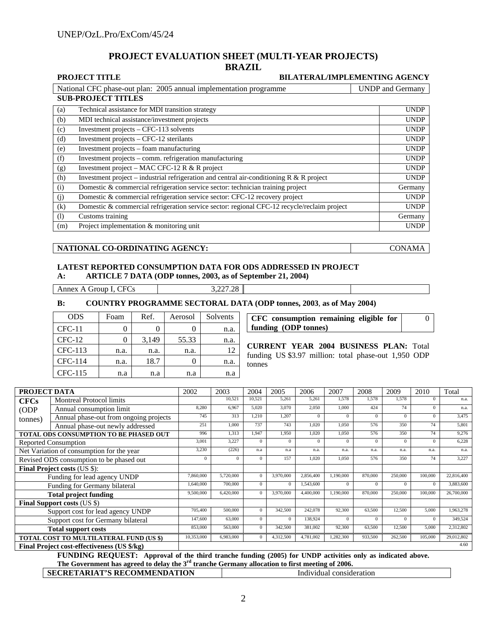#### **PROJECT EVALUATION SHEET (MULTI-YEAR PROJECTS) BRAZIL**

|     | <b>PROJECT TITLE</b>                                                                        | <b>BILATERAL/IMPLEMENTING AGENCY</b> |
|-----|---------------------------------------------------------------------------------------------|--------------------------------------|
|     | National CFC phase-out plan: 2005 annual implementation programme                           | <b>UNDP</b> and Germany              |
|     | <b>SUB-PROJECT TITLES</b>                                                                   |                                      |
| (a) | Technical assistance for MDI transition strategy                                            | <b>UNDP</b>                          |
| (b) | MDI technical assistance/investment projects                                                | <b>UNDP</b>                          |
| (c) | Investment projects – CFC-113 solvents                                                      | <b>UNDP</b>                          |
| (d) | Investment projects – CFC-12 sterilants                                                     | <b>UNDP</b>                          |
| (e) | Investment projects – foam manufacturing                                                    | <b>UNDP</b>                          |
| (f) | Investment projects – comm. refrigeration manufacturing                                     | <b>UNDP</b>                          |
| (g) | Investment project – MAC CFC-12 R $&$ R project                                             | <b>UNDP</b>                          |
| (h) | Investment project – industrial refrigeration and central air-conditioning $R \& R$ project | <b>UNDP</b>                          |
| (i) | Domestic & commercial refrigeration service sector: technician training project             | Germany                              |
| (j) | Domestic & commercial refrigeration service sector: CFC-12 recovery project                 | <b>UNDP</b>                          |
| (k) | Domestic & commercial refrigeration service sector: regional CFC-12 recycle/reclaim project | <b>UNDP</b>                          |
| (1) | Customs training                                                                            | Germany                              |
| (m) | Project implementation & monitoring unit                                                    | <b>UNDP</b>                          |

#### **NATIONAL CO-ORDINATING AGENCY:** CONAMA

#### **LATEST REPORTED CONSUMPTION DATA FOR ODS ADDRESSED IN PROJECT A: ARTICLE 7 DATA (ODP tonnes, 2003, as of September 21, 2004)**

Annex A Group I, CFCs 3,227.28

#### **B: COUNTRY PROGRAMME SECTORAL DATA (ODP tonnes, 2003**, **as of May 2004)**

| <b>ODS</b> | Foam | Ref.  | Aerosol | Solvents |
|------------|------|-------|---------|----------|
| $CFC-11$   |      |       |         | n.a.     |
| $CFC-12$   |      | 3,149 | 55.33   | n.a.     |
| CFC-113    | n.a. | n.a.  | n.a.    | 12       |
| CFC-114    | n.a. | 18.7  |         | n.a.     |
| CFC-115    | n.a  | n.a   | n.a     | n.a      |

**CFC consumption remaining eligible for funding (ODP tonnes)**  0

**CURRENT YEAR 2004 BUSINESS PLAN:** Total funding US \$3.97 million: total phase-out 1,950 ODP tonnes

| <b>PROJECT DATA</b>                      |                                                                                                           | 2002       | 2003         | 2004           | 2005      | 2006      | 2007      | 2008     | 2009     | 2010     | Total      |
|------------------------------------------|-----------------------------------------------------------------------------------------------------------|------------|--------------|----------------|-----------|-----------|-----------|----------|----------|----------|------------|
| <b>CFCs</b>                              | <b>Montreal Protocol limits</b>                                                                           |            | 10,521       | 10.521         | 5,261     | 5,261     | 1.578     | 1,578    | 1.578    | $\Omega$ | n.a.       |
| (ODP)                                    | Annual consumption limit                                                                                  | 8,280      | 6,967        | 5,020          | 3,070     | 2,050     | 1,000     | 424      | 74       | $\Omega$ | n.a.       |
| tonnes)                                  | Annual phase-out from ongoing projects                                                                    | 745        | 313          | 1.210          | 1,207     | $\Omega$  | $\Omega$  | $\Omega$ | $\Omega$ | $\Omega$ | 3,475      |
|                                          | Annual phase-out newly addressed                                                                          | 251        | 1.000        | 737            | 743       | 1.020     | 1.050     | 576      | 350      | 74       | 5,801      |
|                                          | TOTAL ODS CONSUMPTION TO BE PHASED OUT                                                                    | 996        | 1,313        | 1.947          | 1,950     | 1.020     | 1.050     | 576      | 350      | 74       | 9,276      |
|                                          | Reported Consumption                                                                                      | 3,001      | 3,227        | $\Omega$       | $\Omega$  | $\Omega$  | $\Omega$  | $\Omega$ | $\Omega$ | $\Omega$ | 6,228      |
|                                          | Net Variation of consumption for the year                                                                 | 3,230      | (226)        | n.a            | n.a       | n.a.      | n.a.      | n.a.     | n.a.     | n.a.     | n.a.       |
| Revised ODS consumption to be phased out |                                                                                                           | $\theta$   | $\mathbf{0}$ | $\mathbf{0}$   | 157       | 1,020     | 1,050     | 576      | 350      | 74       | 3,227      |
| <b>Final Project costs (US \$):</b>      |                                                                                                           |            |              |                |           |           |           |          |          |          |            |
| Funding for lead agency UNDP             |                                                                                                           | 7,860,000  | 5,720,000    | $\Omega$       | 3,970,000 | 2,856,400 | 1,190,000 | 870,000  | 250,000  | 100,000  | 22,816,400 |
| Funding for Germany bilateral            |                                                                                                           | 1.640.000  | 700,000      | $\Omega$       | $\Omega$  | 1,543,600 | $\Omega$  | $\Omega$ | $\Omega$ | $\Omega$ | 3,883,600  |
|                                          | <b>Total project funding</b>                                                                              | 9,500,000  | 6,420,000    | $\mathbf{0}$   | 3,970,000 | 4.400,000 | 1.190.000 | 870,000  | 250,000  | 100,000  | 26,700,000 |
|                                          | <b>Final Support costs (US \$)</b>                                                                        |            |              |                |           |           |           |          |          |          |            |
|                                          | Support cost for lead agency UNDP                                                                         | 705,400    | 500,000      | $\Omega$       | 342,500   | 242,078   | 92.300    | 63,500   | 12,500   | 5,000    | 1,963,278  |
| Support cost for Germany bilateral       |                                                                                                           | 147,600    | 63,000       | $\overline{0}$ | $\Omega$  | 138.924   | $\Omega$  | $\Omega$ | $\Omega$ | $\Omega$ | 349,524    |
| <b>Total support costs</b>               |                                                                                                           | 853,000    | 563,000      | $\overline{0}$ | 342,500   | 381,002   | 92,300    | 63,500   | 12,500   | 5,000    | 2,312,802  |
|                                          | TOTAL COST TO MULTILATERAL FUND (US \$)                                                                   | 10,353,000 | 6,983,000    | $\mathbf{0}$   | 4,312,500 | 4,781,002 | 1,282,300 | 933,500  | 262,500  | 105,000  | 29,012,802 |
|                                          | Final Project cost-effectiveness (US \$/kg)                                                               |            |              |                |           |           |           |          |          |          | 4.60       |
|                                          | FUNDING DEOUEST: Annuaral of the third transhe funding (2005) for UNDD octivities only as indicated above |            |              |                |           |           |           |          |          |          |            |

**FUNDING REQUEST: Approval of the third tranche funding (2005) for UNDP activities only as indicated above.**  The Government has agreed to delay the 3<sup>rd</sup> tranche Germany allocation to first meeting of 2006.

**SECRETARIAT'S RECOMMENDATION Individual consideration**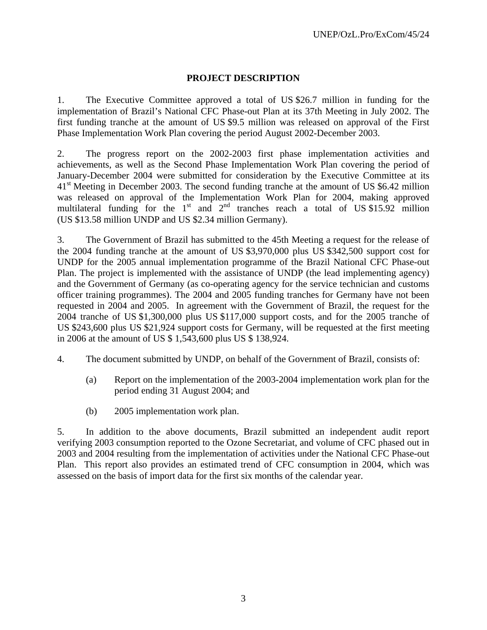## **PROJECT DESCRIPTION**

1. The Executive Committee approved a total of US \$26.7 million in funding for the implementation of Brazil's National CFC Phase-out Plan at its 37th Meeting in July 2002. The first funding tranche at the amount of US \$9.5 million was released on approval of the First Phase Implementation Work Plan covering the period August 2002-December 2003.

2. The progress report on the 2002-2003 first phase implementation activities and achievements, as well as the Second Phase Implementation Work Plan covering the period of January-December 2004 were submitted for consideration by the Executive Committee at its 41<sup>st</sup> Meeting in December 2003. The second funding tranche at the amount of US \$6.42 million was released on approval of the Implementation Work Plan for 2004, making approved multilateral funding for the  $1<sup>st</sup>$  and  $2<sup>nd</sup>$  tranches reach a total of US \$15.92 million (US \$13.58 million UNDP and US \$2.34 million Germany).

3. The Government of Brazil has submitted to the 45th Meeting a request for the release of the 2004 funding tranche at the amount of US \$3,970,000 plus US \$342,500 support cost for UNDP for the 2005 annual implementation programme of the Brazil National CFC Phase-out Plan. The project is implemented with the assistance of UNDP (the lead implementing agency) and the Government of Germany (as co-operating agency for the service technician and customs officer training programmes). The 2004 and 2005 funding tranches for Germany have not been requested in 2004 and 2005. In agreement with the Government of Brazil, the request for the 2004 tranche of US \$1,300,000 plus US \$117,000 support costs, and for the 2005 tranche of US \$243,600 plus US \$21,924 support costs for Germany, will be requested at the first meeting in 2006 at the amount of US \$ 1,543,600 plus US \$ 138,924.

- 4. The document submitted by UNDP, on behalf of the Government of Brazil, consists of:
	- (a) Report on the implementation of the 2003-2004 implementation work plan for the period ending 31 August 2004; and
	- (b) 2005 implementation work plan.

5. In addition to the above documents, Brazil submitted an independent audit report verifying 2003 consumption reported to the Ozone Secretariat, and volume of CFC phased out in 2003 and 2004 resulting from the implementation of activities under the National CFC Phase-out Plan. This report also provides an estimated trend of CFC consumption in 2004, which was assessed on the basis of import data for the first six months of the calendar year.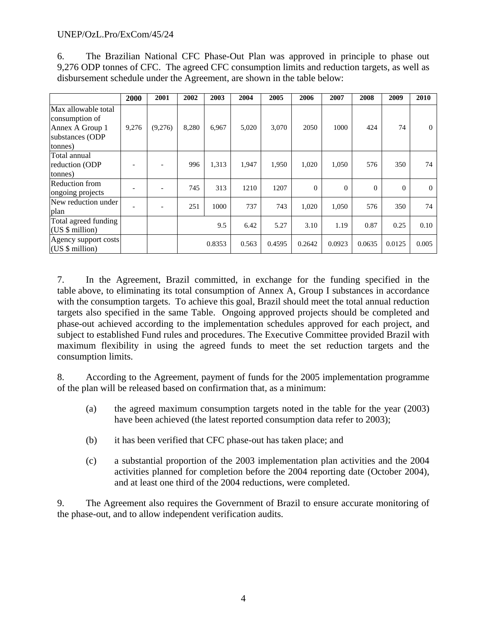## UNEP/OzL.Pro/ExCom/45/24

6. The Brazilian National CFC Phase-Out Plan was approved in principle to phase out 9,276 ODP tonnes of CFC. The agreed CFC consumption limits and reduction targets, as well as disbursement schedule under the Agreement, are shown in the table below:

|                                                                                        | 2000  | 2001    | 2002  | 2003   | 2004  | 2005   | 2006     | 2007     | 2008     | 2009     | 2010     |
|----------------------------------------------------------------------------------------|-------|---------|-------|--------|-------|--------|----------|----------|----------|----------|----------|
| Max allowable total<br>consumption of<br>Annex A Group 1<br>substances (ODP<br>tonnes) | 9,276 | (9,276) | 8,280 | 6,967  | 5,020 | 3,070  | 2050     | 1000     | 424      | 74       | $\Omega$ |
| Total annual<br>reduction (ODP<br>tonnes)                                              |       |         | 996   | 1,313  | 1,947 | 1,950  | 1,020    | 1,050    | 576      | 350      | 74       |
| <b>Reduction from</b><br>ongoing projects                                              |       |         | 745   | 313    | 1210  | 1207   | $\Omega$ | $\theta$ | $\Omega$ | $\Omega$ | $\Omega$ |
| New reduction under<br>plan                                                            |       |         | 251   | 1000   | 737   | 743    | 1,020    | 1,050    | 576      | 350      | 74       |
| Total agreed funding<br>(US \$ million)                                                |       |         |       | 9.5    | 6.42  | 5.27   | 3.10     | 1.19     | 0.87     | 0.25     | 0.10     |
| Agency support costs<br>(US \$ million)                                                |       |         |       | 0.8353 | 0.563 | 0.4595 | 0.2642   | 0.0923   | 0.0635   | 0.0125   | 0.005    |

7. In the Agreement, Brazil committed, in exchange for the funding specified in the table above, to eliminating its total consumption of Annex A, Group I substances in accordance with the consumption targets. To achieve this goal, Brazil should meet the total annual reduction targets also specified in the same Table. Ongoing approved projects should be completed and phase-out achieved according to the implementation schedules approved for each project, and subject to established Fund rules and procedures. The Executive Committee provided Brazil with maximum flexibility in using the agreed funds to meet the set reduction targets and the consumption limits.

8. According to the Agreement, payment of funds for the 2005 implementation programme of the plan will be released based on confirmation that, as a minimum:

- (a) the agreed maximum consumption targets noted in the table for the year (2003) have been achieved (the latest reported consumption data refer to 2003);
- (b) it has been verified that CFC phase-out has taken place; and
- (c) a substantial proportion of the 2003 implementation plan activities and the 2004 activities planned for completion before the 2004 reporting date (October 2004), and at least one third of the 2004 reductions, were completed.

9. The Agreement also requires the Government of Brazil to ensure accurate monitoring of the phase-out, and to allow independent verification audits.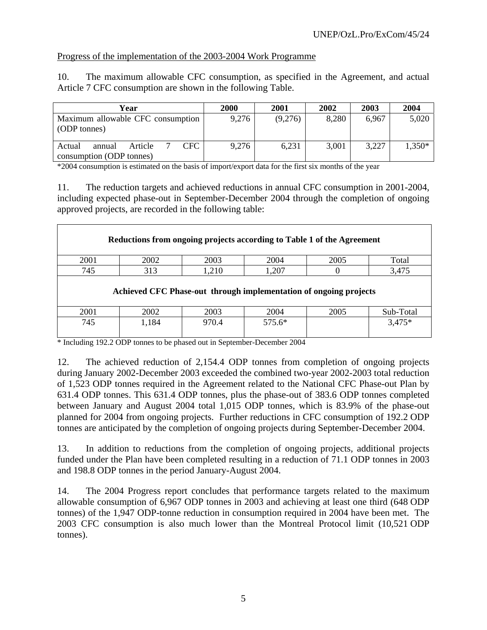# Progress of the implementation of the 2003-2004 Work Programme

10. The maximum allowable CFC consumption, as specified in the Agreement, and actual Article 7 CFC consumption are shown in the following Table.

| Year                                                            | 2000  | 2001    | 2002  | 2003  | 2004     |
|-----------------------------------------------------------------|-------|---------|-------|-------|----------|
| Maximum allowable CFC consumption<br>(ODP tonnes)               | 9,276 | (9,276) | 8,280 | 6,967 | 5,020    |
| CFC.<br>Article<br>Actual<br>annual<br>consumption (ODP tonnes) | 9,276 | 6,231   | 3,001 | 3,227 | $1,350*$ |

\*2004 consumption is estimated on the basis of import/export data for the first six months of the year

11. The reduction targets and achieved reductions in annual CFC consumption in 2001-2004, including expected phase-out in September-December 2004 through the completion of ongoing approved projects, are recorded in the following table:

| Reductions from ongoing projects according to Table 1 of the Agreement |       |       |          |      |           |  |  |  |
|------------------------------------------------------------------------|-------|-------|----------|------|-----------|--|--|--|
| 2001                                                                   | 2002  | 2003  | 2004     | 2005 | Total     |  |  |  |
| 745                                                                    | 313   | 1,210 | 1,207    |      | 3,475     |  |  |  |
| Achieved CFC Phase-out through implementation of ongoing projects      |       |       |          |      |           |  |  |  |
| 2001                                                                   | 2002  | 2003  | 2004     | 2005 | Sub-Total |  |  |  |
| 745                                                                    | 1,184 | 970.4 | $575.6*$ |      | $3,475*$  |  |  |  |

\* Including 192.2 ODP tonnes to be phased out in September-December 2004

12. The achieved reduction of 2,154.4 ODP tonnes from completion of ongoing projects during January 2002-December 2003 exceeded the combined two-year 2002-2003 total reduction of 1,523 ODP tonnes required in the Agreement related to the National CFC Phase-out Plan by 631.4 ODP tonnes. This 631.4 ODP tonnes, plus the phase-out of 383.6 ODP tonnes completed between January and August 2004 total 1,015 ODP tonnes, which is 83.9% of the phase-out planned for 2004 from ongoing projects. Further reductions in CFC consumption of 192.2 ODP tonnes are anticipated by the completion of ongoing projects during September-December 2004.

13. In addition to reductions from the completion of ongoing projects, additional projects funded under the Plan have been completed resulting in a reduction of 71.1 ODP tonnes in 2003 and 198.8 ODP tonnes in the period January-August 2004.

14. The 2004 Progress report concludes that performance targets related to the maximum allowable consumption of 6,967 ODP tonnes in 2003 and achieving at least one third (648 ODP tonnes) of the 1,947 ODP-tonne reduction in consumption required in 2004 have been met. The 2003 CFC consumption is also much lower than the Montreal Protocol limit (10,521 ODP tonnes).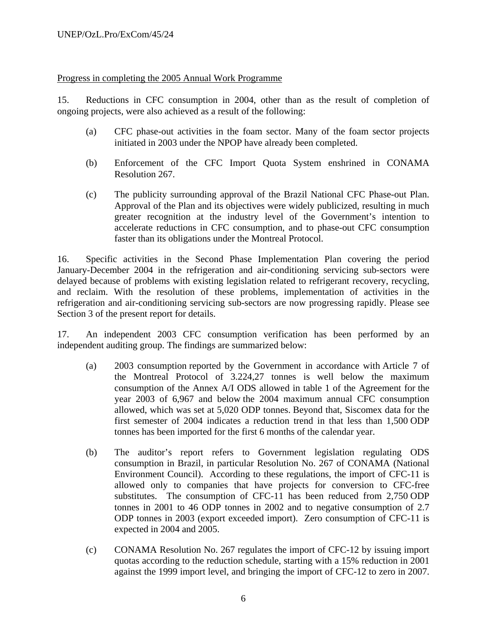## Progress in completing the 2005 Annual Work Programme

15. Reductions in CFC consumption in 2004, other than as the result of completion of ongoing projects, were also achieved as a result of the following:

- (a) CFC phase-out activities in the foam sector. Many of the foam sector projects initiated in 2003 under the NPOP have already been completed.
- (b) Enforcement of the CFC Import Quota System enshrined in CONAMA Resolution 267.
- (c) The publicity surrounding approval of the Brazil National CFC Phase-out Plan. Approval of the Plan and its objectives were widely publicized, resulting in much greater recognition at the industry level of the Government's intention to accelerate reductions in CFC consumption, and to phase-out CFC consumption faster than its obligations under the Montreal Protocol.

16. Specific activities in the Second Phase Implementation Plan covering the period January-December 2004 in the refrigeration and air-conditioning servicing sub-sectors were delayed because of problems with existing legislation related to refrigerant recovery, recycling, and reclaim. With the resolution of these problems, implementation of activities in the refrigeration and air-conditioning servicing sub-sectors are now progressing rapidly. Please see Section 3 of the present report for details.

17. An independent 2003 CFC consumption verification has been performed by an independent auditing group. The findings are summarized below:

- (a) 2003 consumption reported by the Government in accordance with Article 7 of the Montreal Protocol of 3.224,27 tonnes is well below the maximum consumption of the Annex A/I ODS allowed in table 1 of the Agreement for the year 2003 of 6,967 and below the 2004 maximum annual CFC consumption allowed, which was set at 5,020 ODP tonnes. Beyond that, Siscomex data for the first semester of 2004 indicates a reduction trend in that less than 1,500 ODP tonnes has been imported for the first 6 months of the calendar year.
- (b) The auditor's report refers to Government legislation regulating ODS consumption in Brazil, in particular Resolution No. 267 of CONAMA (National Environment Council). According to these regulations, the import of CFC-11 is allowed only to companies that have projects for conversion to CFC-free substitutes. The consumption of CFC-11 has been reduced from 2,750 ODP tonnes in 2001 to 46 ODP tonnes in 2002 and to negative consumption of 2.7 ODP tonnes in 2003 (export exceeded import). Zero consumption of CFC-11 is expected in 2004 and 2005.
- (c) CONAMA Resolution No. 267 regulates the import of CFC-12 by issuing import quotas according to the reduction schedule, starting with a 15% reduction in 2001 against the 1999 import level, and bringing the import of CFC-12 to zero in 2007.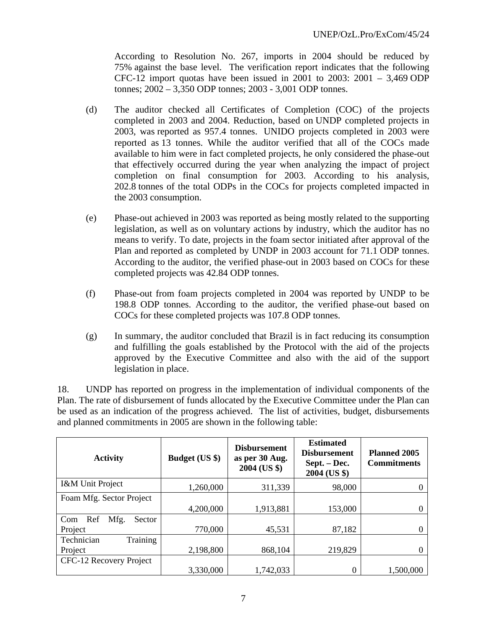According to Resolution No. 267, imports in 2004 should be reduced by 75% against the base level. The verification report indicates that the following CFC-12 import quotas have been issued in 2001 to 2003: 2001 – 3,469 ODP tonnes; 2002 – 3,350 ODP tonnes; 2003 - 3,001 ODP tonnes.

- (d) The auditor checked all Certificates of Completion (COC) of the projects completed in 2003 and 2004. Reduction, based on UNDP completed projects in 2003, was reported as 957.4 tonnes. UNIDO projects completed in 2003 were reported as 13 tonnes. While the auditor verified that all of the COCs made available to him were in fact completed projects, he only considered the phase-out that effectively occurred during the year when analyzing the impact of project completion on final consumption for 2003. According to his analysis, 202.8 tonnes of the total ODPs in the COCs for projects completed impacted in the 2003 consumption.
- (e) Phase-out achieved in 2003 was reported as being mostly related to the supporting legislation, as well as on voluntary actions by industry, which the auditor has no means to verify. To date, projects in the foam sector initiated after approval of the Plan and reported as completed by UNDP in 2003 account for 71.1 ODP tonnes. According to the auditor, the verified phase-out in 2003 based on COCs for these completed projects was 42.84 ODP tonnes.
- (f) Phase-out from foam projects completed in 2004 was reported by UNDP to be 198.8 ODP tonnes. According to the auditor, the verified phase-out based on COCs for these completed projects was 107.8 ODP tonnes.
- (g) In summary, the auditor concluded that Brazil is in fact reducing its consumption and fulfilling the goals established by the Protocol with the aid of the projects approved by the Executive Committee and also with the aid of the support legislation in place.

18. UNDP has reported on progress in the implementation of individual components of the Plan. The rate of disbursement of funds allocated by the Executive Committee under the Plan can be used as an indication of the progress achieved. The list of activities, budget, disbursements and planned commitments in 2005 are shown in the following table:

| <b>Activity</b>              | <b>Budget (US \$)</b> | <b>Disbursement</b><br>as per 30 Aug.<br>2004 (US \$) | <b>Estimated</b><br><b>Disbursement</b><br>Sept. - Dec.<br>2004 (US \$) | <b>Planned 2005</b><br><b>Commitments</b> |
|------------------------------|-----------------------|-------------------------------------------------------|-------------------------------------------------------------------------|-------------------------------------------|
| I&M Unit Project             | 1,260,000             | 311,339                                               | 98,000                                                                  |                                           |
| Foam Mfg. Sector Project     |                       |                                                       |                                                                         |                                           |
|                              | 4,200,000             | 1,913,881                                             | 153,000                                                                 |                                           |
| Mfg.<br>Ref<br>Sector<br>Com |                       |                                                       |                                                                         |                                           |
| Project                      | 770,000               | 45,531                                                | 87,182                                                                  |                                           |
| Training<br>Technician       |                       |                                                       |                                                                         |                                           |
| Project                      | 2,198,800             | 868,104                                               | 219,829                                                                 |                                           |
| CFC-12 Recovery Project      |                       |                                                       |                                                                         |                                           |
|                              | 3,330,000             | 1,742,033                                             | $\Omega$                                                                | 1,500,000                                 |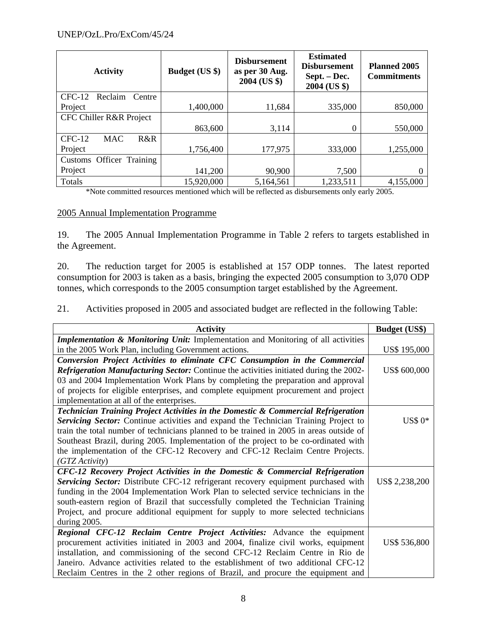| <b>Activity</b>               | <b>Budget (US \$)</b> | <b>Disbursement</b><br>as per 30 Aug.<br>2004 (US \$) | <b>Estimated</b><br><b>Disbursement</b><br>Sept. – Dec.<br>2004 (US \$) | Planned 2005<br><b>Commitments</b> |
|-------------------------------|-----------------------|-------------------------------------------------------|-------------------------------------------------------------------------|------------------------------------|
| $CFC-12$<br>Reclaim<br>Centre |                       |                                                       |                                                                         |                                    |
| Project                       | 1,400,000             | 11,684                                                | 335,000                                                                 | 850,000                            |
| CFC Chiller R&R Project       |                       |                                                       |                                                                         |                                    |
|                               | 863,600               | 3,114                                                 | 0                                                                       | 550,000                            |
| $CFC-12$<br><b>MAC</b><br>R&R |                       |                                                       |                                                                         |                                    |
| Project                       | 1,756,400             | 177,975                                               | 333,000                                                                 | 1,255,000                          |
| Customs Officer Training      |                       |                                                       |                                                                         |                                    |
| Project                       | 141,200               | 90,900                                                | 7,500                                                                   |                                    |
| Totals                        | 15,920,000            | 5,164,561                                             | 1,233,511                                                               | 4,155,000                          |

\*Note committed resources mentioned which will be reflected as disbursements only early 2005.

## 2005 Annual Implementation Programme

19. The 2005 Annual Implementation Programme in Table 2 refers to targets established in the Agreement.

20. The reduction target for 2005 is established at 157 ODP tonnes. The latest reported consumption for 2003 is taken as a basis, bringing the expected 2005 consumption to 3,070 ODP tonnes, which corresponds to the 2005 consumption target established by the Agreement.

21. Activities proposed in 2005 and associated budget are reflected in the following Table:

| <b>Activity</b>                                                                               | <b>Budget (US\$)</b> |
|-----------------------------------------------------------------------------------------------|----------------------|
| Implementation & Monitoring Unit: Implementation and Monitoring of all activities             |                      |
| in the 2005 Work Plan, including Government actions.                                          | US\$ 195,000         |
| Conversion Project Activities to eliminate CFC Consumption in the Commercial                  |                      |
| <b>Refrigeration Manufacturing Sector:</b> Continue the activities initiated during the 2002- | US\$ 600,000         |
| 03 and 2004 Implementation Work Plans by completing the preparation and approval              |                      |
| of projects for eligible enterprises, and complete equipment procurement and project          |                      |
| implementation at all of the enterprises.                                                     |                      |
| Technician Training Project Activities in the Domestic & Commercial Refrigeration             |                      |
| Servicing Sector: Continue activities and expand the Technician Training Project to           | $US$0*$              |
| train the total number of technicians planned to be trained in 2005 in areas outside of       |                      |
| Southeast Brazil, during 2005. Implementation of the project to be co-ordinated with          |                      |
| the implementation of the CFC-12 Recovery and CFC-12 Reclaim Centre Projects.                 |                      |
| (GTZActivity)                                                                                 |                      |
| CFC-12 Recovery Project Activities in the Domestic & Commercial Refrigeration                 |                      |
| Servicing Sector: Distribute CFC-12 refrigerant recovery equipment purchased with             | US\$ 2,238,200       |
| funding in the 2004 Implementation Work Plan to selected service technicians in the           |                      |
| south-eastern region of Brazil that successfully completed the Technician Training            |                      |
| Project, and procure additional equipment for supply to more selected technicians             |                      |
| during 2005.                                                                                  |                      |
| Regional CFC-12 Reclaim Centre Project Activities: Advance the equipment                      |                      |
| procurement activities initiated in 2003 and 2004, finalize civil works, equipment            | US\$ 536,800         |
| installation, and commissioning of the second CFC-12 Reclaim Centre in Rio de                 |                      |
| Janeiro. Advance activities related to the establishment of two additional CFC-12             |                      |
| Reclaim Centres in the 2 other regions of Brazil, and procure the equipment and               |                      |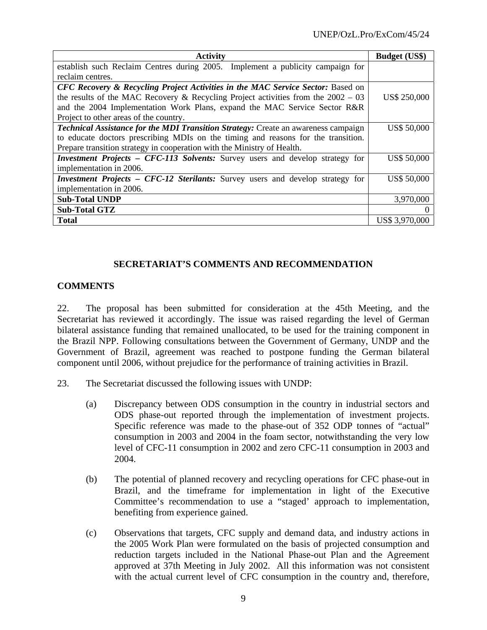| <b>Activity</b>                                                                           | <b>Budget (US\$)</b> |
|-------------------------------------------------------------------------------------------|----------------------|
| establish such Reclaim Centres during 2005. Implement a publicity campaign for            |                      |
| reclaim centres.                                                                          |                      |
| CFC Recovery & Recycling Project Activities in the MAC Service Sector: Based on           |                      |
| the results of the MAC Recovery & Recycling Project activities from the $2002 - 03$       | <b>US\$ 250,000</b>  |
| and the 2004 Implementation Work Plans, expand the MAC Service Sector R&R                 |                      |
| Project to other areas of the country.                                                    |                      |
| <b>Technical Assistance for the MDI Transition Strategy:</b> Create an awareness campaign | US\$ 50,000          |
| to educate doctors prescribing MDIs on the timing and reasons for the transition.         |                      |
| Prepare transition strategy in cooperation with the Ministry of Health.                   |                      |
| <i>Investment Projects – CFC-113 Solvents:</i> Survey users and develop strategy for      | <b>US\$ 50,000</b>   |
| implementation in 2006.                                                                   |                      |
| <i>Investment Projects – CFC-12 Sterilants:</i> Survey users and develop strategy for     | <b>US\$ 50,000</b>   |
| implementation in 2006.                                                                   |                      |
| <b>Sub-Total UNDP</b>                                                                     | 3,970,000            |
| <b>Sub-Total GTZ</b>                                                                      |                      |
| <b>Total</b>                                                                              | US\$ 3,970,000       |

## **SECRETARIAT'S COMMENTS AND RECOMMENDATION**

## **COMMENTS**

22. The proposal has been submitted for consideration at the 45th Meeting, and the Secretariat has reviewed it accordingly. The issue was raised regarding the level of German bilateral assistance funding that remained unallocated, to be used for the training component in the Brazil NPP. Following consultations between the Government of Germany, UNDP and the Government of Brazil, agreement was reached to postpone funding the German bilateral component until 2006, without prejudice for the performance of training activities in Brazil.

- 23. The Secretariat discussed the following issues with UNDP:
	- (a) Discrepancy between ODS consumption in the country in industrial sectors and ODS phase-out reported through the implementation of investment projects. Specific reference was made to the phase-out of 352 ODP tonnes of "actual" consumption in 2003 and 2004 in the foam sector, notwithstanding the very low level of CFC-11 consumption in 2002 and zero CFC-11 consumption in 2003 and 2004.
	- (b) The potential of planned recovery and recycling operations for CFC phase-out in Brazil, and the timeframe for implementation in light of the Executive Committee's recommendation to use a "staged' approach to implementation, benefiting from experience gained.
	- (c) Observations that targets, CFC supply and demand data, and industry actions in the 2005 Work Plan were formulated on the basis of projected consumption and reduction targets included in the National Phase-out Plan and the Agreement approved at 37th Meeting in July 2002. All this information was not consistent with the actual current level of CFC consumption in the country and, therefore,